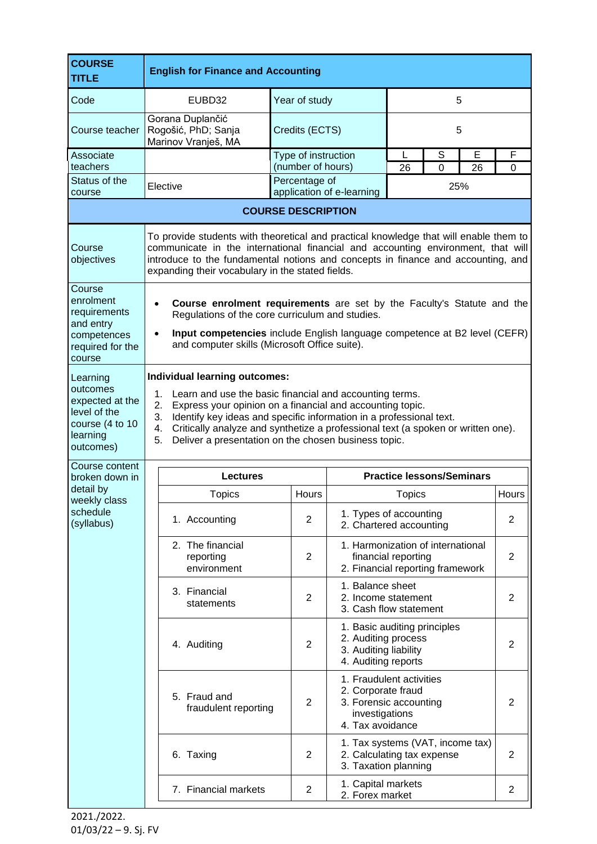| <b>COURSE</b><br><b>TITLE</b>                                                                                         | <b>English for Finance and Accounting</b>                                                                                                                                                                                                                                                                                                                                                                                                                                                                                                                                                              |                                          |                                                                                                                |                                                                                              |        |         |                   |
|-----------------------------------------------------------------------------------------------------------------------|--------------------------------------------------------------------------------------------------------------------------------------------------------------------------------------------------------------------------------------------------------------------------------------------------------------------------------------------------------------------------------------------------------------------------------------------------------------------------------------------------------------------------------------------------------------------------------------------------------|------------------------------------------|----------------------------------------------------------------------------------------------------------------|----------------------------------------------------------------------------------------------|--------|---------|-------------------|
| Code                                                                                                                  | EUBD32                                                                                                                                                                                                                                                                                                                                                                                                                                                                                                                                                                                                 | Year of study                            | 5                                                                                                              |                                                                                              |        |         |                   |
| Course teacher                                                                                                        | Gorana Duplančić<br>Rogošić, PhD; Sanja<br>Marinov Vranješ, MA                                                                                                                                                                                                                                                                                                                                                                                                                                                                                                                                         | Credits (ECTS)                           | 5                                                                                                              |                                                                                              |        |         |                   |
| Associate<br>teachers                                                                                                 |                                                                                                                                                                                                                                                                                                                                                                                                                                                                                                                                                                                                        | Type of instruction<br>(number of hours) |                                                                                                                | L<br>26                                                                                      | S<br>0 | E<br>26 | F<br>0            |
| Status of the<br>course                                                                                               | Elective                                                                                                                                                                                                                                                                                                                                                                                                                                                                                                                                                                                               | Percentage of                            | 25%                                                                                                            |                                                                                              |        |         |                   |
|                                                                                                                       | application of e-learning<br><b>COURSE DESCRIPTION</b>                                                                                                                                                                                                                                                                                                                                                                                                                                                                                                                                                 |                                          |                                                                                                                |                                                                                              |        |         |                   |
| Course<br>objectives<br>Course<br>enrolment<br>requirements                                                           | To provide students with theoretical and practical knowledge that will enable them to<br>communicate in the international financial and accounting environment, that will<br>introduce to the fundamental notions and concepts in finance and accounting, and<br>expanding their vocabulary in the stated fields.<br>Course enrolment requirements are set by the Faculty's Statute and the<br>$\bullet$<br>Regulations of the core curriculum and studies.<br>Input competencies include English language competence at B2 level (CEFR)<br>$\bullet$<br>and computer skills (Microsoft Office suite). |                                          |                                                                                                                |                                                                                              |        |         |                   |
| and entry<br>competences<br>required for the<br>course                                                                |                                                                                                                                                                                                                                                                                                                                                                                                                                                                                                                                                                                                        |                                          |                                                                                                                |                                                                                              |        |         |                   |
| Learning<br>outcomes<br>expected at the<br>level of the<br>course (4 to 10<br>learning<br>outcomes)<br>Course content | Individual learning outcomes:<br>1.<br>Learn and use the basic financial and accounting terms.<br>Express your opinion on a financial and accounting topic.<br>2.<br>Identify key ideas and specific information in a professional text.<br>3.<br>Critically analyze and synthetize a professional text (a spoken or written one).<br>4.<br>5.<br>Deliver a presentation on the chosen business topic.                                                                                                                                                                                                 |                                          |                                                                                                                |                                                                                              |        |         |                   |
| broken down in<br>detail by<br>weekly class<br>schedule<br>(syllabus)                                                 | <b>Lectures</b>                                                                                                                                                                                                                                                                                                                                                                                                                                                                                                                                                                                        |                                          | <b>Practice lessons/Seminars</b>                                                                               |                                                                                              |        |         |                   |
|                                                                                                                       | <b>Topics</b><br>1. Accounting                                                                                                                                                                                                                                                                                                                                                                                                                                                                                                                                                                         | Hours<br>2                               | 1. Types of accounting<br>2. Chartered accounting                                                              | <b>Topics</b>                                                                                |        |         | <b>Hours</b><br>2 |
|                                                                                                                       | 2. The financial<br>reporting<br>environment                                                                                                                                                                                                                                                                                                                                                                                                                                                                                                                                                           | $\overline{2}$                           |                                                                                                                | 1. Harmonization of international<br>financial reporting<br>2. Financial reporting framework |        |         | 2                 |
|                                                                                                                       | 3. Financial<br>statements                                                                                                                                                                                                                                                                                                                                                                                                                                                                                                                                                                             | 2                                        | 1. Balance sheet<br>2. Income statement<br>3. Cash flow statement                                              |                                                                                              |        |         | 2                 |
|                                                                                                                       | 4. Auditing                                                                                                                                                                                                                                                                                                                                                                                                                                                                                                                                                                                            | $\overline{2}$                           | 1. Basic auditing principles<br>2. Auditing process<br>3. Auditing liability<br>4. Auditing reports            |                                                                                              |        |         | $\overline{2}$    |
|                                                                                                                       | 5. Fraud and<br>fraudulent reporting                                                                                                                                                                                                                                                                                                                                                                                                                                                                                                                                                                   | $\overline{2}$                           | 1. Fraudulent activities<br>2. Corporate fraud<br>3. Forensic accounting<br>investigations<br>4. Tax avoidance |                                                                                              |        |         | 2                 |
|                                                                                                                       | 6. Taxing                                                                                                                                                                                                                                                                                                                                                                                                                                                                                                                                                                                              | 2                                        | 1. Tax systems (VAT, income tax)<br>2. Calculating tax expense<br>3. Taxation planning                         |                                                                                              |        |         | $\overline{2}$    |
|                                                                                                                       | 7. Financial markets                                                                                                                                                                                                                                                                                                                                                                                                                                                                                                                                                                                   | $\overline{2}$                           | 1. Capital markets<br>2. Forex market                                                                          |                                                                                              |        |         | $\overline{2}$    |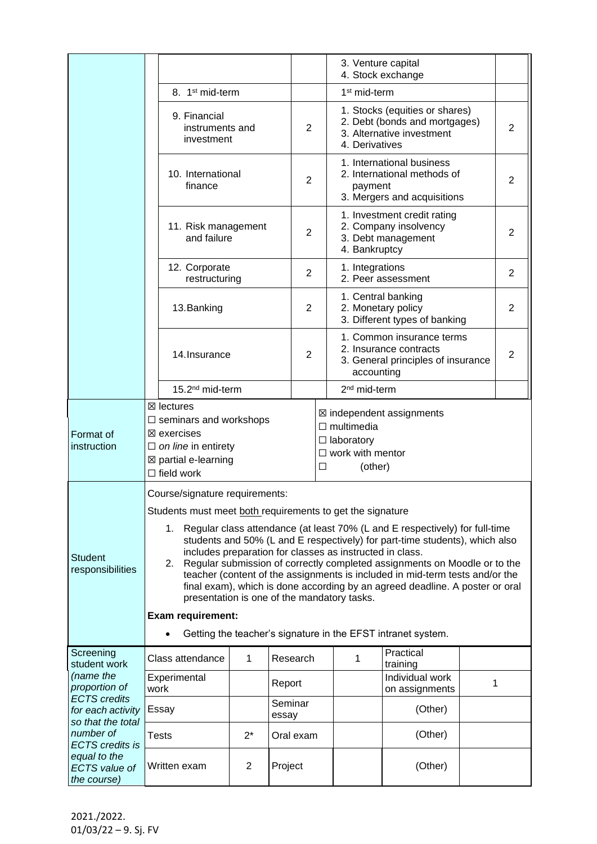|                                                                                |                                                                                                                                                                                                                                                                                                                                                                                                                                                                                                                                                                                                                                                                                                                    |                             |                  |                                                                                                                                  | 3. Venture capital                                                        | 4. Stock exchange                                                                         |                |   |
|--------------------------------------------------------------------------------|--------------------------------------------------------------------------------------------------------------------------------------------------------------------------------------------------------------------------------------------------------------------------------------------------------------------------------------------------------------------------------------------------------------------------------------------------------------------------------------------------------------------------------------------------------------------------------------------------------------------------------------------------------------------------------------------------------------------|-----------------------------|------------------|----------------------------------------------------------------------------------------------------------------------------------|---------------------------------------------------------------------------|-------------------------------------------------------------------------------------------|----------------|---|
|                                                                                |                                                                                                                                                                                                                                                                                                                                                                                                                                                                                                                                                                                                                                                                                                                    | 8. 1 <sup>st</sup> mid-term |                  |                                                                                                                                  | 1 <sup>st</sup> mid-term                                                  |                                                                                           |                |   |
|                                                                                | 9. Financial<br>instruments and<br>investment                                                                                                                                                                                                                                                                                                                                                                                                                                                                                                                                                                                                                                                                      |                             |                  | 1. Stocks (equities or shares)<br>2. Debt (bonds and mortgages)<br>$\overline{2}$<br>3. Alternative investment<br>4. Derivatives |                                                                           |                                                                                           |                | 2 |
|                                                                                | 10. International<br>finance                                                                                                                                                                                                                                                                                                                                                                                                                                                                                                                                                                                                                                                                                       |                             |                  | $\overline{2}$                                                                                                                   | payment                                                                   | 1. International business<br>2. International methods of<br>3. Mergers and acquisitions   |                | 2 |
|                                                                                | 11. Risk management<br>and failure                                                                                                                                                                                                                                                                                                                                                                                                                                                                                                                                                                                                                                                                                 |                             |                  | 2                                                                                                                                | 4. Bankruptcy                                                             | 1. Investment credit rating<br>2. Company insolvency<br>3. Debt management                |                | 2 |
|                                                                                | 12. Corporate<br>restructuring                                                                                                                                                                                                                                                                                                                                                                                                                                                                                                                                                                                                                                                                                     |                             |                  | 1. Integrations<br>2<br>2. Peer assessment                                                                                       |                                                                           |                                                                                           | $\overline{2}$ |   |
|                                                                                | 13. Banking                                                                                                                                                                                                                                                                                                                                                                                                                                                                                                                                                                                                                                                                                                        |                             |                  | 2                                                                                                                                | 1. Central banking<br>2. Monetary policy<br>3. Different types of banking |                                                                                           |                | 2 |
|                                                                                | 14. Insurance                                                                                                                                                                                                                                                                                                                                                                                                                                                                                                                                                                                                                                                                                                      |                             |                  | $\overline{2}$                                                                                                                   | accounting                                                                | 1. Common insurance terms<br>2. Insurance contracts<br>3. General principles of insurance |                | 2 |
|                                                                                | 15.2 <sup>nd</sup> mid-term                                                                                                                                                                                                                                                                                                                                                                                                                                                                                                                                                                                                                                                                                        |                             |                  |                                                                                                                                  | 2 <sup>nd</sup> mid-term                                                  |                                                                                           |                |   |
| Format of<br>instruction                                                       | $\boxtimes$ lectures<br>⊠ independent assignments<br>$\Box$ seminars and workshops<br>$\Box$ multimedia<br>$\boxtimes$ exercises<br>$\Box$ laboratory<br>$\Box$ on line in entirety<br>$\Box$ work with mentor<br>⊠ partial e-learning<br>□<br>(other)<br>$\Box$ field work                                                                                                                                                                                                                                                                                                                                                                                                                                        |                             |                  |                                                                                                                                  |                                                                           |                                                                                           |                |   |
| <b>Student</b><br>responsibilities                                             | Course/signature requirements:<br>Students must meet both requirements to get the signature<br>Regular class attendance (at least 70% (L and E respectively) for full-time<br>1.<br>students and 50% (L and E respectively) for part-time students), which also<br>includes preparation for classes as instructed in class.<br>Regular submission of correctly completed assignments on Moodle or to the<br>2.<br>teacher (content of the assignments is included in mid-term tests and/or the<br>final exam), which is done according by an agreed deadline. A poster or oral<br>presentation is one of the mandatory tasks.<br>Exam requirement:<br>Getting the teacher's signature in the EFST intranet system. |                             |                  |                                                                                                                                  |                                                                           |                                                                                           |                |   |
| Screening<br>student work<br>(name the<br>proportion of<br><b>ECTS</b> credits | Class attendance                                                                                                                                                                                                                                                                                                                                                                                                                                                                                                                                                                                                                                                                                                   | 1                           | Research         |                                                                                                                                  | 1                                                                         | Practical<br>training                                                                     |                |   |
|                                                                                | Experimental<br>work                                                                                                                                                                                                                                                                                                                                                                                                                                                                                                                                                                                                                                                                                               |                             | Report           |                                                                                                                                  |                                                                           | Individual work<br>on assignments                                                         |                | 1 |
| for each activity<br>so that the total                                         | Essay                                                                                                                                                                                                                                                                                                                                                                                                                                                                                                                                                                                                                                                                                                              |                             | Seminar<br>essay | (Other)                                                                                                                          |                                                                           |                                                                                           |                |   |
| number of<br><b>ECTS</b> credits is                                            | <b>Tests</b>                                                                                                                                                                                                                                                                                                                                                                                                                                                                                                                                                                                                                                                                                                       | $2^*$                       | Oral exam        |                                                                                                                                  |                                                                           | (Other)                                                                                   |                |   |
| equal to the<br><b>ECTS</b> value of<br>the course)                            | Written exam                                                                                                                                                                                                                                                                                                                                                                                                                                                                                                                                                                                                                                                                                                       | $\mathbf{2}$                | Project          |                                                                                                                                  |                                                                           | (Other)                                                                                   |                |   |